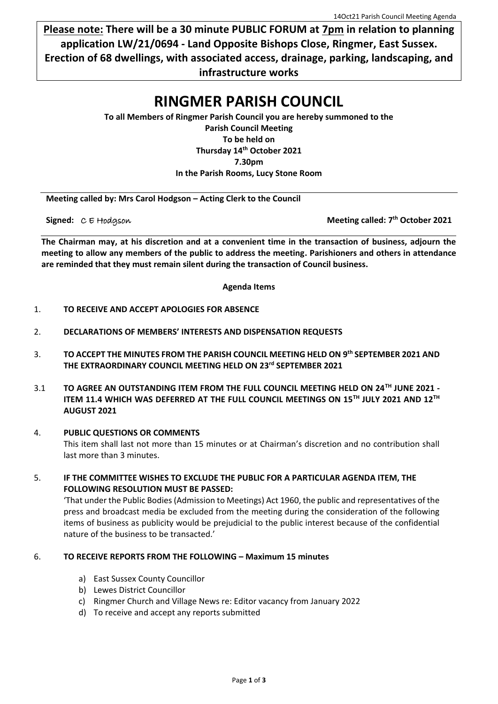**Please note: There will be a 30 minute PUBLIC FORUM at 7pm in relation to planning application LW/21/0694 - Land Opposite Bishops Close, Ringmer, East Sussex. Erection of 68 dwellings, with associated access, drainage, parking, landscaping, and infrastructure works**

# **RINGMER PARISH COUNCIL**

**To all Members of Ringmer Parish Council you are hereby summoned to the Parish Council Meeting To be held on Thursday 14th October 2021 7.30pm In the Parish Rooms, Lucy Stone Room**

**Meeting called by: Mrs Carol Hodgson – Acting Clerk to the Council**

**Signed:**  $C \in H$ odgson

**Meeting called: 7<sup>th</sup> October 2021** 

**The Chairman may, at his discretion and at a convenient time in the transaction of business, adjourn the meeting to allow any members of the public to address the meeting. Parishioners and others in attendance are reminded that they must remain silent during the transaction of Council business.**

**Agenda Items**

- 1. **TO RECEIVE AND ACCEPT APOLOGIES FOR ABSENCE**
- 2. **DECLARATIONS OF MEMBERS' INTERESTS AND DISPENSATION REQUESTS**
- 3. **TO ACCEPT THE MINUTES FROM THE PARISH COUNCIL MEETING HELD ON 9 th SEPTEMBER 2021 AND THE EXTRAORDINARY COUNCIL MEETING HELD ON 23rd SEPTEMBER 2021**
- 3.1 **TO AGREE AN OUTSTANDING ITEM FROM THE FULL COUNCIL MEETING HELD ON 24TH JUNE 2021 ITEM 11.4 WHICH WAS DEFERRED AT THE FULL COUNCIL MEETINGS ON 15TH JULY 2021 AND 12TH AUGUST 2021**
- 4. **PUBLIC QUESTIONS OR COMMENTS**  This item shall last not more than 15 minutes or at Chairman's discretion and no contribution shall last more than 3 minutes.
- 5. **IF THE COMMITTEE WISHES TO EXCLUDE THE PUBLIC FOR A PARTICULAR AGENDA ITEM, THE FOLLOWING RESOLUTION MUST BE PASSED:**

'That under the Public Bodies (Admission to Meetings) Act 1960, the public and representatives of the press and broadcast media be excluded from the meeting during the consideration of the following items of business as publicity would be prejudicial to the public interest because of the confidential nature of the business to be transacted.'

### 6. **TO RECEIVE REPORTS FROM THE FOLLOWING – Maximum 15 minutes**

- a) East Sussex County Councillor
- b) Lewes District Councillor
- c) Ringmer Church and Village News re: Editor vacancy from January 2022
- d) To receive and accept any reports submitted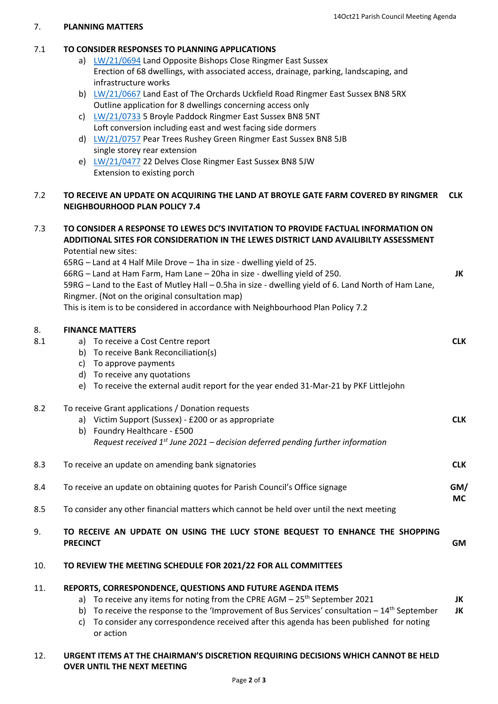**JK**

**JK JK**

### 7. **PLANNING MATTERS**

# 7.1 **TO CONSIDER RESPONSES TO PLANNING APPLICATIONS**

- a) [LW/21/0694](https://planningpa.lewes.gov.uk/online-applications/applicationDetails.do?activeTab=summary&keyVal=QYCM8NJDMZN00) Land Opposite Bishops Close Ringmer East Sussex Erection of 68 dwellings, with associated access, drainage, parking, landscaping, and infrastructure works
- b) [LW/21/0667](https://planningpa.lewes.gov.uk/online-applications/applicationDetails.do?activeTab=summary&keyVal=QXXTT1JDMV700) Land East of The Orchards Uckfield Road Ringmer East Sussex BN8 5RX Outline application for 8 dwellings concerning access only
- c) [LW/21/0733](https://planningpa.lewes.gov.uk/online-applications/applicationDetails.do?activeTab=summary&keyVal=QZGZV5JDFKE00) 5 Broyle Paddock Ringmer East Sussex BN8 5NT Loft conversion including east and west facing side dormers
- d) [LW/21/0757](https://planningpa.lewes.gov.uk/online-applications/applicationDetails.do?activeTab=summary&keyVal=R06RMNJDFRO00) Pear Trees Rushey Green Ringmer East Sussex BN8 5JB single storey rear extension
- e) [LW/21/0477](https://planningpa.lewes.gov.uk/online-applications/applicationDetails.do?activeTab=summary&keyVal=QUQGXJJDLY100) 22 Delves Close Ringmer East Sussex BN8 5JW Extension to existing porch

#### 7.2 **TO RECEIVE AN UPDATE ON ACQUIRING THE LAND AT BROYLE GATE FARM COVERED BY RINGMER NEIGHBOURHOOD PLAN POLICY 7.4 CLK**

# 7.3 **TO CONSIDER A RESPONSE TO LEWES DC'S INVITATION TO PROVIDE FACTUAL INFORMATION ON ADDITIONAL SITES FOR CONSIDERATION IN THE LEWES DISTRICT LAND AVAILIBILTY ASSESSMENT** Potential new sites:

65RG – Land at 4 Half Mile Drove – 1ha in size - dwelling yield of 25.

66RG – Land at Ham Farm, Ham Lane – 20ha in size - dwelling yield of 250.

59RG – Land to the East of Mutley Hall – 0.5ha in size - dwelling yield of 6. Land North of Ham Lane, Ringmer. (Not on the original consultation map)

This is item is to be considered in accordance with Neighbourhood Plan Policy 7.2

## 8. **FINANCE MATTERS**

| 8.1 | To receive a Cost Centre report<br>a)                                                           | <b>CLK</b> |
|-----|-------------------------------------------------------------------------------------------------|------------|
|     | To receive Bank Reconciliation(s)<br>b)                                                         |            |
|     | To approve payments<br>C)                                                                       |            |
|     | To receive any quotations<br>d)                                                                 |            |
|     | To receive the external audit report for the year ended 31-Mar-21 by PKF Littlejohn<br>e)       |            |
| 8.2 | To receive Grant applications / Donation requests                                               |            |
|     | a) Victim Support (Sussex) - £200 or as appropriate                                             | <b>CLK</b> |
|     | Foundry Healthcare - £500<br>b)                                                                 |            |
|     | Request received $1^{st}$ June 2021 – decision deferred pending further information             |            |
| 8.3 | To receive an update on amending bank signatories                                               | <b>CLK</b> |
| 8.4 | To receive an update on obtaining quotes for Parish Council's Office signage                    | GM/        |
| 8.5 | To consider any other financial matters which cannot be held over until the next meeting        | <b>MC</b>  |
| 9.  | TO RECEIVE AN UPDATE ON USING THE LUCY STONE BEQUEST TO ENHANCE THE SHOPPING<br><b>PRECINCT</b> | <b>GM</b>  |
| 10. | TO REVIEW THE MEETING SCHEDULE FOR 2021/22 FOR ALL COMMITTEES                                   |            |
| 11  | REDORTS CORRESDONDENCE QUESTIONS AND EUTURE AGENDA ITEMS                                        |            |

- 11. **REPORTS, CORRESPONDENCE, QUESTIONS AND FUTURE AGENDA ITEMS** 
	- a) To receive any items for noting from the CPRE AGM  $-25<sup>th</sup>$  September 2021
	- b) To receive the response to the 'Improvement of Bus Services' consultation  $-14<sup>th</sup>$  September c) To consider any correspondence received after this agenda has been published for noting
	- or action

# 12. **URGENT ITEMS AT THE CHAIRMAN'S DISCRETION REQUIRING DECISIONS WHICH CANNOT BE HELD OVER UNTIL THE NEXT MEETING**